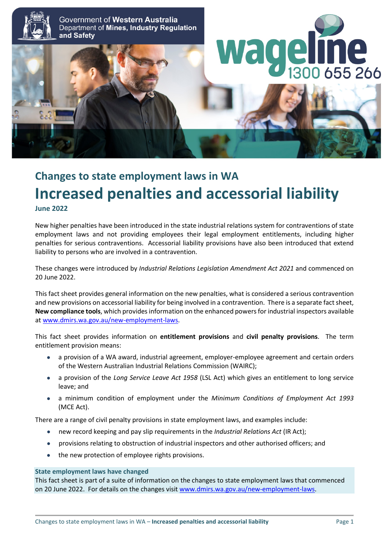

# **Changes to state employment laws in WA Increased penalties and accessorial liability June 2022**

New higher penalties have been introduced in the state industrial relations system for contraventions of state employment laws and not providing employees their legal employment entitlements, including higher penalties for serious contraventions. Accessorial liability provisions have also been introduced that extend liability to persons who are involved in a contravention.

These changes were introduced by *Industrial Relations Legislation Amendment Act 2021* and commenced on 20 June 2022.

This fact sheet provides general information on the new penalties, what is considered a serious contravention and new provisions on accessorial liability for being involved in a contravention. There is a separate fact sheet, **New compliance tools**, which provides information on the enhanced powers for industrial inspectors available at [www.dmirs.wa.gov.au/new-employment-laws.](http://www.dmirs.wa.gov.au/new-employment-laws)

This fact sheet provides information on **entitlement provisions** and **civil penalty provisions**. The term entitlement provision means:

- a provision of a WA award, industrial agreement, employer-employee agreement and certain orders of the Western Australian Industrial Relations Commission (WAIRC);
- a provision of the *Long Service Leave Act 1958* (LSL Act) which gives an entitlement to long service leave; and
- a minimum condition of employment under the *Minimum Conditions of Employment Act 1993* (MCE Act).

There are a range of civil penalty provisions in state employment laws, and examples include:

- new record keeping and pay slip requirements in the *Industrial Relations Act* (IR Act);
- provisions relating to obstruction of industrial inspectors and other authorised officers; and
- the new protection of employee rights provisions.

#### **State employment laws have changed**

This fact sheet is part of a suite of information on the changes to state employment laws that commenced on 20 June 2022. For details on the changes visit [www.dmirs.wa.gov.au/new-employment-laws.](http://www.dmirs.wa.gov.au/new-employment-laws)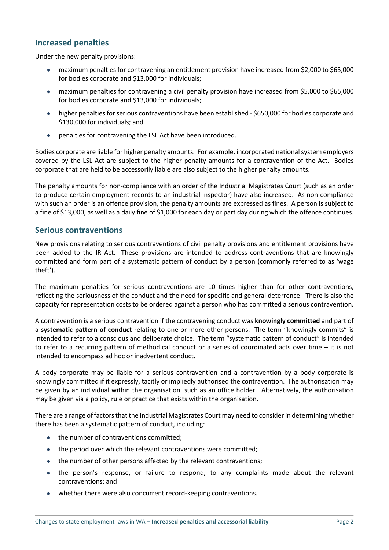## **Increased penalties**

Under the new penalty provisions:

- maximum penalties for contravening an entitlement provision have increased from \$2,000 to \$65,000 for bodies corporate and \$13,000 for individuals;
- maximum penalties for contravening a civil penalty provision have increased from \$5,000 to \$65,000 for bodies corporate and \$13,000 for individuals;
- higher penalties for serious contraventions have been established \$650,000 for bodies corporate and \$130,000 for individuals; and
- penalties for contravening the LSL Act have been introduced.

Bodies corporate are liable for higher penalty amounts. For example, incorporated national system employers covered by the LSL Act are subject to the higher penalty amounts for a contravention of the Act. Bodies corporate that are held to be accessorily liable are also subject to the higher penalty amounts.

The penalty amounts for non-compliance with an order of the Industrial Magistrates Court (such as an order to produce certain employment records to an industrial inspector) have also increased. As non-compliance with such an order is an offence provision, the penalty amounts are expressed as fines. A person is subject to a fine of \$13,000, as well as a daily fine of \$1,000 for each day or part day during which the offence continues.

### **Serious contraventions**

New provisions relating to serious contraventions of civil penalty provisions and entitlement provisions have been added to the IR Act. These provisions are intended to address contraventions that are knowingly committed and form part of a systematic pattern of conduct by a person (commonly referred to as 'wage theft').

The maximum penalties for serious contraventions are 10 times higher than for other contraventions, reflecting the seriousness of the conduct and the need for specific and general deterrence. There is also the capacity for representation costs to be ordered against a person who has committed a serious contravention.

A contravention is a serious contravention if the contravening conduct was **knowingly committed** and part of a **systematic pattern of conduct** relating to one or more other persons. The term "knowingly commits" is intended to refer to a conscious and deliberate choice. The term "systematic pattern of conduct" is intended to refer to a recurring pattern of methodical conduct or a series of coordinated acts over time – it is not intended to encompass ad hoc or inadvertent conduct.

A body corporate may be liable for a serious contravention and a contravention by a body corporate is knowingly committed if it expressly, tacitly or impliedly authorised the contravention. The authorisation may be given by an individual within the organisation, such as an office holder. Alternatively, the authorisation may be given via a policy, rule or practice that exists within the organisation.

There are a range of factors that the Industrial Magistrates Court may need to consider in determining whether there has been a systematic pattern of conduct, including:

- the number of contraventions committed;
- the period over which the relevant contraventions were committed;
- the number of other persons affected by the relevant contraventions;
- the person's response, or failure to respond, to any complaints made about the relevant contraventions; and
- whether there were also concurrent record-keeping contraventions.